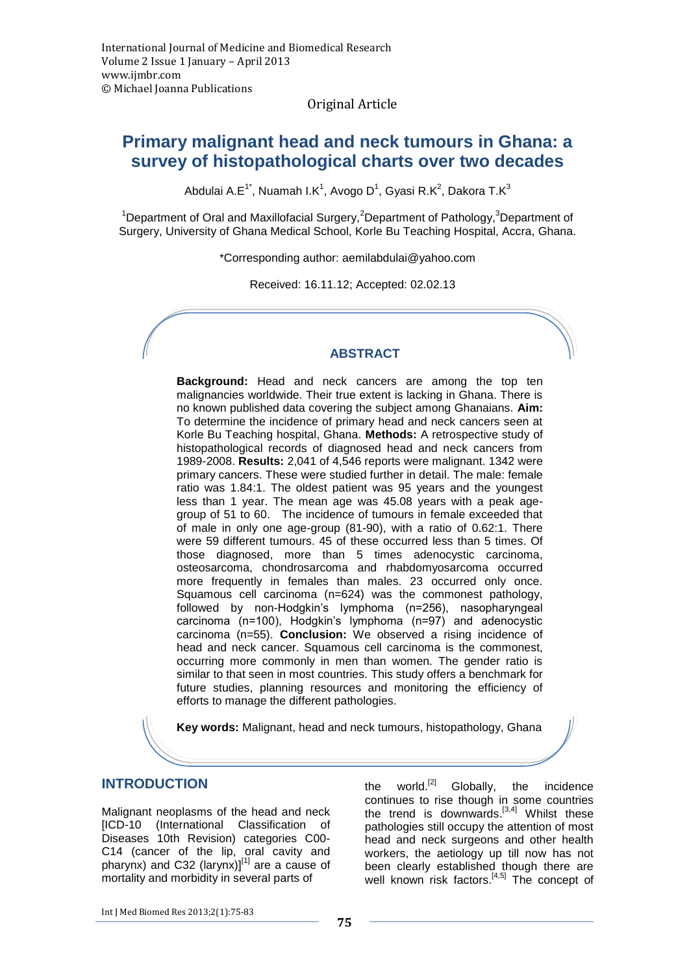Original Article

# **Primary malignant head and neck tumours in Ghana: a survey of histopathological charts over two decades**

Abdulai A.E $^{1^*}$ , Nuamah I.K $^1$ , Avogo D $^1$ , Gyasi R.K $^2$ , Dakora T.K $^3$ 

<sup>1</sup>Department of Oral and Maxillofacial Surgery,<sup>2</sup>Department of Pathology,<sup>3</sup>Department of Surgery, University of Ghana Medical School, Korle Bu Teaching Hospital, Accra, Ghana.

\*Corresponding author: [aemilabdulai@yahoo.com](mailto:aemilabdulai@yahoo.com)

Received: 16.11.12; Accepted: 02.02.13

#### **ABSTRACT**

**Background:** Head and neck cancers are among the top ten malignancies worldwide. Their true extent is lacking in Ghana. There is no known published data covering the subject among Ghanaians. **Aim:** To determine the incidence of primary head and neck cancers seen at Korle Bu Teaching hospital, Ghana. **Methods:** A retrospective study of histopathological records of diagnosed head and neck cancers from 1989-2008. **Results:** 2,041 of 4,546 reports were malignant. 1342 were primary cancers. These were studied further in detail. The male: female ratio was 1.84:1. The oldest patient was 95 years and the youngest less than 1 year. The mean age was 45.08 years with a peak agegroup of 51 to 60. The incidence of tumours in female exceeded that of male in only one age-group (81-90), with a ratio of 0.62:1. There were 59 different tumours. 45 of these occurred less than 5 times. Of those diagnosed, more than 5 times adenocystic carcinoma, osteosarcoma, chondrosarcoma and rhabdomyosarcoma occurred more frequently in females than males. 23 occurred only once. Squamous cell carcinoma (n=624) was the commonest pathology, followed by non-Hodgkin's lymphoma (n=256), nasopharyngeal carcinoma (n=100), Hodgkin's lymphoma (n=97) and adenocystic carcinoma (n=55). **Conclusion:** We observed a rising incidence of head and neck cancer. Squamous cell carcinoma is the commonest, occurring more commonly in men than women. The gender ratio is similar to that seen in most countries. This study offers a benchmark for future studies, planning resources and monitoring the efficiency of efforts to manage the different pathologies.

**Key words:** Malignant, head and neck tumours, histopathology, Ghana

#### **INTRODUCTION**

Malignant neoplasms of the head and neck [ICD-10 (International Classification of Diseases 10th Revision) categories C00- C14 (cancer of the lip, oral cavity and pharynx) and C32 (larynx)]<sup>[1]</sup> are a cause of mortality and morbidity in several parts of

the world.<sup>[2]</sup> Globally, the incidence continues to rise though in some countries the trend is downwards. $[3,4]$  Whilst these pathologies still occupy the attention of most head and neck surgeons and other health workers, the aetiology up till now has not been clearly established though there are well known risk factors.<sup>[4,5]</sup> The concept of

Int J Med Biomed Res 2013;2(1):75-83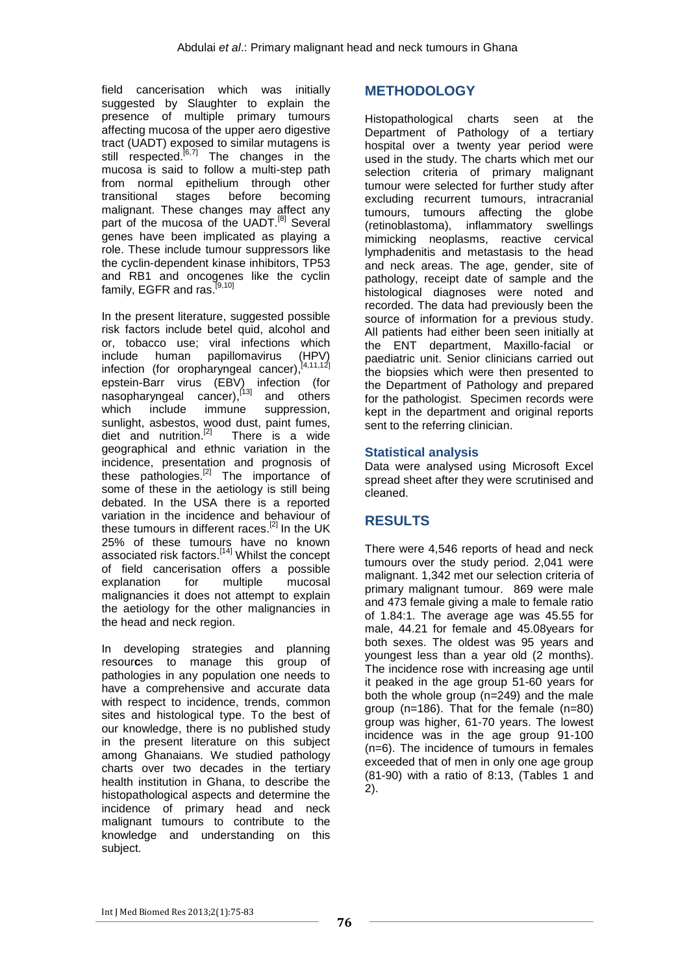field cancerisation which was initially suggested by Slaughter to explain the presence of multiple primary tumours affecting mucosa of the upper aero digestive tract (UADT) exposed to similar mutagens is still respected.<sup>[6,7]</sup> The changes in the mucosa is said to follow a multi-step path from normal epithelium through other<br>transitional stages before becoming transitional stages before becoming malignant. These changes may affect any part of the mucosa of the UADT.<sup>[8]</sup> Several genes have been implicated as playing a role. These include tumour suppressors like the cyclin-dependent kinase inhibitors, TP53 and RB1 and oncogenes like the cyclin family, EGFR and ras.<sup>[9,10]</sup>

In the present literature, suggested possible risk factors include betel quid, alcohol and or, tobacco use; viral infections which include human papillomavirus (HPV) infection (for oropharyngeal cancer), [4,11,12] epstein-Barr virus (EBV) infection (for nasopharyngeal cancer),<sup>[13]</sup> and others which include immune suppression, sunlight, asbestos, wood dust, paint fumes, diet and nutrition.<sup>[2]</sup> There is a wide geographical and ethnic variation in the incidence, presentation and prognosis of these pathologies.<sup>[2]</sup> The importance of some of these in the aetiology is still being debated. In the USA there is a reported variation in the incidence and behaviour of these tumours in different races.<sup>[2]</sup> In the UK 25% of these tumours have no known associated risk factors.<sup>[14]</sup> Whilst the concept of field cancerisation offers a possible explanation for multiple mucosal malignancies it does not attempt to explain the aetiology for the other malignancies in the head and neck region.

In developing strategies and planning resour**c**es to manage this group of pathologies in any population one needs to have a comprehensive and accurate data with respect to incidence, trends, common sites and histological type. To the best of our knowledge, there is no published study in the present literature on this subject among Ghanaians. We studied pathology charts over two decades in the tertiary health institution in Ghana, to describe the histopathological aspects and determine the incidence of primary head and neck malignant tumours to contribute to the knowledge and understanding on this subject.

### **METHODOLOGY**

Histopathological charts seen at the Department of Pathology of a tertiary hospital over a twenty year period were used in the study. The charts which met our selection criteria of primary malignant tumour were selected for further study after excluding recurrent tumours, intracranial tumours, tumours affecting the globe (retinoblastoma), inflammatory swellings mimicking neoplasms, reactive cervical lymphadenitis and metastasis to the head and neck areas. The age, gender, site of pathology, receipt date of sample and the histological diagnoses were noted and recorded. The data had previously been the source of information for a previous study. All patients had either been seen initially at the ENT department, Maxillo-facial or paediatric unit. Senior clinicians carried out the biopsies which were then presented to the Department of Pathology and prepared for the pathologist. Specimen records were kept in the department and original reports sent to the referring clinician.

#### **Statistical analysis**

Data were analysed using Microsoft Excel spread sheet after they were scrutinised and cleaned.

# **RESULTS**

There were 4,546 reports of head and neck tumours over the study period. 2,041 were malignant. 1,342 met our selection criteria of primary malignant tumour. 869 were male and 473 female giving a male to female ratio of 1.84:1. The average age was 45.55 for male, 44.21 for female and 45.08years for both sexes. The oldest was 95 years and youngest less than a year old (2 months). The incidence rose with increasing age until it peaked in the age group 51-60 years for both the whole group  $(n=249)$  and the male group (n=186). That for the female (n=80) group was higher, 61-70 years. The lowest incidence was in the age group 91-100 (n=6). The incidence of tumours in females exceeded that of men in only one age group (81-90) with a ratio of 8:13, (Tables 1 and 2).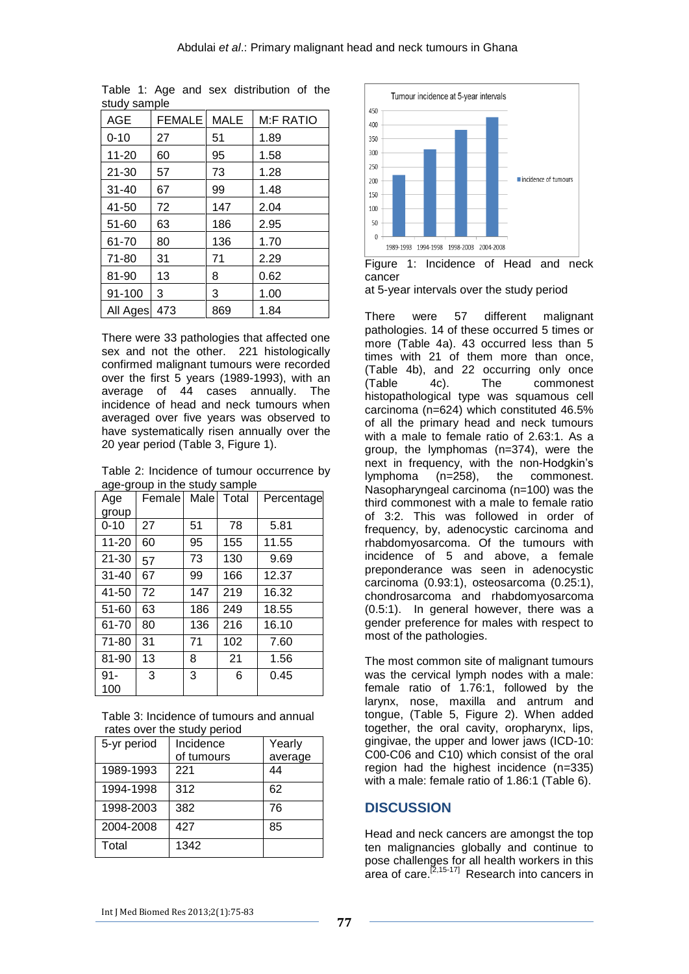| ətuuy əariipi <del>c</del> |        |             |                  |
|----------------------------|--------|-------------|------------------|
| <b>AGE</b>                 | FEMALE | <b>MALE</b> | <b>M:F RATIO</b> |
| $0 - 10$                   | 27     | 51          | 1.89             |
| 11-20                      | 60     | 95          | 1.58             |
| $21 - 30$                  | 57     | 73          | 1.28             |
| $31 - 40$                  | 67     | 99          | 1.48             |
| 41-50                      | 72     | 147         | 2.04             |
| 51-60                      | 63     | 186         | 2.95             |
| 61-70                      | 80     | 136         | 1.70             |
| $71 - 80$                  | 31     | 71          | 2.29             |
| 81-90                      | 13     | 8           | 0.62             |
| 91-100                     | 3      | 3           | 1.00             |
| All Ages                   | 473    | 869         | 1.84             |

Table 1: Age and sex distribution of the study sample

There were 33 pathologies that affected one sex and not the other. 221 histologically confirmed malignant tumours were recorded over the first 5 years (1989-1993), with an average of 44 cases annually. The incidence of head and neck tumours when averaged over five years was observed to have systematically risen annually over the 20 year period (Table 3, Figure 1).

Table 2: Incidence of tumour occurrence by age-group in the study sample

| ס − סי<br>Age | Female | Male | Total | Percentage |
|---------------|--------|------|-------|------------|
| group         |        |      |       |            |
| $0 - 10$      | 27     | 51   | 78    | 5.81       |
| $11 - 20$     | 60     | 95   | 155   | 11.55      |
| $21 - 30$     | 57     | 73   | 130   | 9.69       |
| $31 - 40$     | 67     | 99   | 166   | 12.37      |
| 41-50         | 72     | 147  | 219   | 16.32      |
| 51-60         | 63     | 186  | 249   | 18.55      |
| 61-70         | 80     | 136  | 216   | 16.10      |
| 71-80         | 31     | 71   | 102   | 7.60       |
| 81-90         | 13     | 8    | 21    | 1.56       |
| $91 -$<br>100 | 3      | 3    | 6     | 0.45       |

Table 3: Incidence of tumours and annual rates over the study period

| 5-yr period | Incidence  | Yearly  |  |
|-------------|------------|---------|--|
|             | of tumours | average |  |
| 1989-1993   | 221        | 44      |  |
| 1994-1998   | 312        | 62      |  |
| 1998-2003   | 382        | 76      |  |
| 2004-2008   | 427        | 85      |  |
| Total       | 1342       |         |  |



Figure 1: Incidence of Head and neck cancer

at 5-year intervals over the study period

There were 57 different malignant pathologies. 14 of these occurred 5 times or more (Table 4a). 43 occurred less than 5 times with 21 of them more than once, (Table 4b), and 22 occurring only once (Table 4c). The commonest histopathological type was squamous cell carcinoma (n=624) which constituted 46.5% of all the primary head and neck tumours with a male to female ratio of 2.63:1. As a group, the lymphomas (n=374), were the next in frequency, with the non-Hodgkin's lymphoma (n=258), the commonest. Nasopharyngeal carcinoma (n=100) was the third commonest with a male to female ratio of 3:2. This was followed in order of frequency, by, adenocystic carcinoma and rhabdomyosarcoma. Of the tumours with incidence of 5 and above, a female preponderance was seen in adenocystic carcinoma (0.93:1), osteosarcoma (0.25:1), chondrosarcoma and rhabdomyosarcoma (0.5:1). In general however, there was a gender preference for males with respect to most of the pathologies.

The most common site of malignant tumours was the cervical lymph nodes with a male: female ratio of 1.76:1, followed by the larynx, nose, maxilla and antrum and tongue, (Table 5, Figure 2). When added together, the oral cavity, oropharynx, lips, gingivae, the upper and lower jaws (ICD-10: C00-C06 and C10) which consist of the oral region had the highest incidence (n=335) with a male: female ratio of 1.86:1 (Table 6).

### **DISCUSSION**

Head and neck cancers are amongst the top ten malignancies globally and continue to pose challenges for all health workers in this area of care.<sup>[2,15-17]</sup> Research into cancers in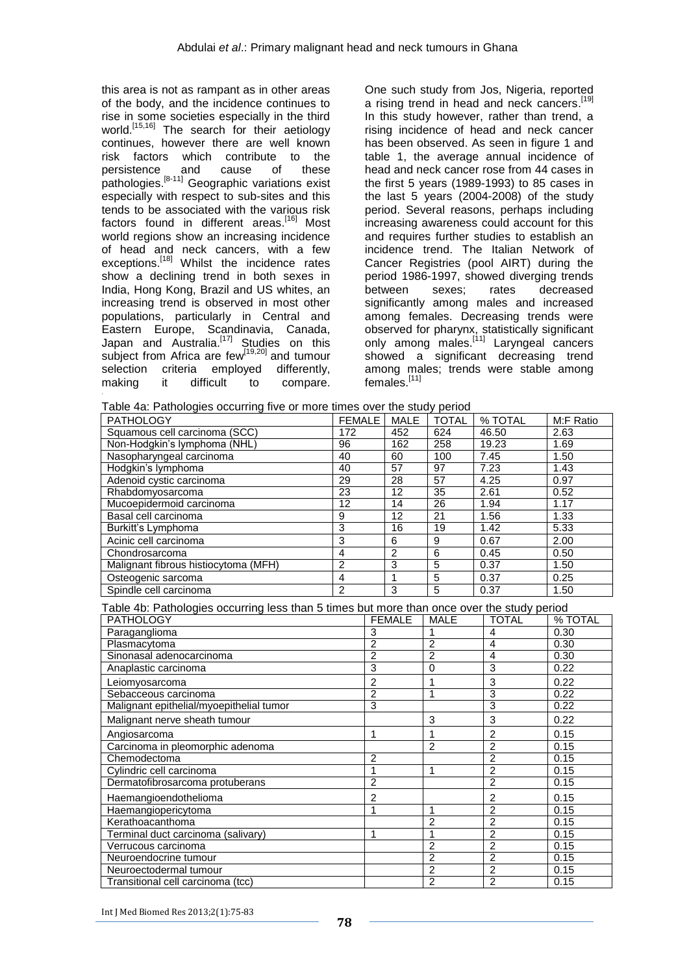this area is not as rampant as in other areas of the body, and the incidence continues to rise in some societies especially in the third world.<sup>[15,16]</sup> The search for their aetiology continues, however there are well known risk factors which contribute to the persistence and cause of these .<br>pathologies.<sup>[8-11]</sup> Geographic variations exist especially with respect to sub-sites and this tends to be associated with the various risk factors found in different areas.<sup>[16]</sup> Most world regions show an increasing incidence of head and neck cancers, with a few exceptions.<sup>[18]</sup> Whilst the incidence rates show a declining trend in both sexes in India, Hong Kong, Brazil and US whites, an increasing trend is observed in most other populations, particularly in Central and Eastern Europe, Scandinavia, Canada, Japan and Australia.<sup>[17]</sup> Studies on this subject from Africa are few<sup>[19,20]</sup> and tumour selection criteria employed differently,<br>making it difficult to compare. it difficult to compare. making

One such study from Jos, Nigeria, reported a rising trend in head and neck cancers.<sup>[19]</sup> In this study however, rather than trend, a rising incidence of head and neck cancer has been observed. As seen in figure 1 and table 1, the average annual incidence of head and neck cancer rose from 44 cases in the first 5 years (1989-1993) to 85 cases in the last 5 years (2004-2008) of the study period. Several reasons, perhaps including increasing awareness could account for this and requires further studies to establish an incidence trend. The Italian Network of Cancer Registries (pool AIRT) during the period 1986-1997, showed diverging trends between sexes; rates decreased significantly among males and increased among females. Decreasing trends were observed for pharynx, statistically significant only among males.<sup>[11]</sup> Laryngeal cancers showed a significant decreasing trend among males; trends were stable among females.<sup>[11]</sup>

| <b>PATHOLOGY</b>                                                                           | <b>FEMALE</b>   |                | MALE            | <b>TOTAL</b>    | % TOTAL                 | M:F Ratio |
|--------------------------------------------------------------------------------------------|-----------------|----------------|-----------------|-----------------|-------------------------|-----------|
| Squamous cell carcinoma (SCC)                                                              | 172             |                | 452             | 624             | 46.50                   | 2.63      |
| Non-Hodgkin's lymphoma (NHL)                                                               | 96              |                | 162             | 258             | 19.23                   | 1.69      |
| Nasopharyngeal carcinoma                                                                   | 40              |                | 60              | 100             | 7.45                    | 1.50      |
| Hodgkin's lymphoma                                                                         | $\overline{40}$ |                | 57              | 97              | 7.23                    | 1.43      |
| Adenoid cystic carcinoma                                                                   | 29              |                | 28              | 57              | 4.25                    | 0.97      |
| Rhabdomyosarcoma                                                                           | 23              |                | $\overline{12}$ | $\overline{35}$ | 2.61                    | 0.52      |
| Mucoepidermoid carcinoma                                                                   | $\overline{12}$ |                | 14              | 26              | 1.94                    | 1.17      |
| Basal cell carcinoma                                                                       | $\overline{9}$  |                | $\overline{12}$ | $\overline{21}$ | 1.56                    | 1.33      |
| Burkitt's Lymphoma                                                                         | $\overline{3}$  |                | 16              | 19              | 1.42                    | 5.33      |
| Acinic cell carcinoma                                                                      | $\overline{3}$  |                | 6               | 9               | 0.67                    | 2.00      |
| Chondrosarcoma                                                                             | $\overline{4}$  |                | $\overline{2}$  | $\overline{6}$  | 0.45                    | 0.50      |
| Malignant fibrous histiocytoma (MFH)                                                       | $\overline{2}$  |                | 3               | $\overline{5}$  | 0.37                    | 1.50      |
| Osteogenic sarcoma                                                                         | $\overline{4}$  |                | 1               | $\overline{5}$  | 0.37                    | 0.25      |
| Spindle cell carcinoma                                                                     | $\overline{2}$  |                | 3               | $\overline{5}$  | 0.37                    | 1.50      |
| Table 4b: Pathologies occurring less than 5 times but more than once over the study period |                 |                |                 |                 |                         |           |
| <b>PATHOLOGY</b>                                                                           |                 |                | <b>FEMALE</b>   | <b>MALE</b>     | <b>TOTAL</b>            | % TOTAL   |
| Paraganglioma                                                                              |                 | 3              |                 | 1               | $\overline{4}$          | 0.30      |
| Plasmacytoma                                                                               |                 | $\overline{2}$ |                 | $\overline{2}$  | $\overline{\mathbf{4}}$ | 0.30      |
| Sinonasal adenocarcinoma                                                                   |                 | $\overline{2}$ |                 | $\overline{2}$  | $\overline{4}$          | 0.30      |
| Anaplastic carcinoma                                                                       |                 | $\overline{3}$ |                 | $\overline{0}$  | $\overline{3}$          | 0.22      |
| Leiomyosarcoma                                                                             |                 | $\overline{c}$ |                 | $\mathbf{1}$    | 3                       | 0.22      |
| Sebacceous carcinoma                                                                       |                 | $\overline{2}$ |                 | $\mathbf{1}$    | $\overline{3}$          | 0.22      |
| Malignant epithelial/myoepithelial tumor                                                   |                 | 3              |                 |                 | $\overline{3}$          | 0.22      |
| Malignant nerve sheath tumour                                                              |                 |                |                 | 3               | 3                       | 0.22      |
| Angiosarcoma                                                                               |                 | $\mathbf{1}$   |                 | $\mathbf{1}$    | $\overline{2}$          | 0.15      |
| Carcinoma in pleomorphic adenoma                                                           |                 |                |                 | $\overline{2}$  | $\overline{2}$          | 0.15      |
| Chemodectoma                                                                               |                 | $\overline{c}$ |                 |                 | $\overline{2}$          | 0.15      |
| Cylindric cell carcinoma                                                                   |                 | 1              |                 | 1               | $\overline{2}$          | 0.15      |
| Dermatofibrosarcoma protuberans                                                            |                 | $\overline{2}$ |                 |                 | $\overline{2}$          | 0.15      |
| Haemangioendothelioma                                                                      |                 | $\overline{c}$ |                 |                 | $\overline{c}$          | 0.15      |
| Haemangiopericytoma                                                                        |                 | 1              |                 | 1               | $\overline{2}$          | 0.15      |
| Kerathoacanthoma                                                                           |                 |                |                 | $\overline{2}$  | $\overline{2}$          | 0.15      |
| Terminal duct carcinoma (salivary)                                                         |                 | 1              |                 | $\mathbf{1}$    | $\overline{2}$          | 0.15      |
| Verrucous carcinoma                                                                        |                 |                |                 | $\overline{2}$  | $\overline{2}$          | 0.15      |
| Neuroendocrine tumour                                                                      |                 |                |                 | $\overline{2}$  | $\overline{2}$          | 0.15      |
| Neuroectodermal tumour                                                                     |                 |                |                 | $\overline{2}$  | $\overline{2}$          | 0.15      |
| Transitional cell carcinoma (tcc)                                                          |                 |                |                 | $\overline{2}$  | $\overline{2}$          | 0.15      |

Int J Med Biomed Res 2013;2(1):75-83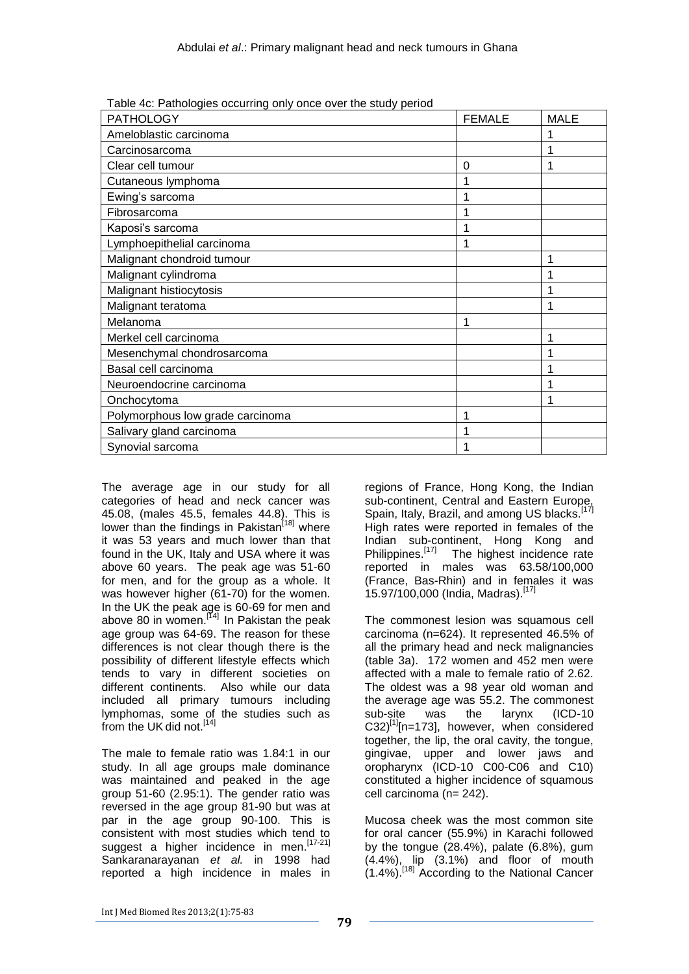| <b>PATHOLOGY</b>                 | <b>FEMALE</b> | <b>MALE</b> |
|----------------------------------|---------------|-------------|
| Ameloblastic carcinoma           |               |             |
| Carcinosarcoma                   |               |             |
| Clear cell tumour                | 0             |             |
| Cutaneous lymphoma               |               |             |
| Ewing's sarcoma                  |               |             |
| Fibrosarcoma                     |               |             |
| Kaposi's sarcoma                 |               |             |
| Lymphoepithelial carcinoma       |               |             |
| Malignant chondroid tumour       |               |             |
| Malignant cylindroma             |               |             |
| Malignant histiocytosis          |               |             |
| Malignant teratoma               |               |             |
| Melanoma                         | 1             |             |
| Merkel cell carcinoma            |               |             |
| Mesenchymal chondrosarcoma       |               |             |
| Basal cell carcinoma             |               |             |
| Neuroendocrine carcinoma         |               |             |
| Onchocytoma                      |               |             |
| Polymorphous low grade carcinoma |               |             |
| Salivary gland carcinoma         |               |             |
| Synovial sarcoma                 |               |             |

Table 4c: Pathologies occurring only once over the study period

The average age in our study for all categories of head and neck cancer was 45.08, (males 45.5, females 44.8). This is lower than the findings in Pakistan<sup>[18]</sup> where it was 53 years and much lower than that found in the UK, Italy and USA where it was above 60 years. The peak age was 51-60 for men, and for the group as a whole. It was however higher (61-70) for the women. In the UK the peak age is 60-69 for men and above 80 in women.<sup>[14]</sup> In Pakistan the peak age group was 64-69. The reason for these differences is not clear though there is the possibility of different lifestyle effects which tends to vary in different societies on different continents. Also while our data included all primary tumours including lymphomas, some of the studies such as from the UK did not.<sup>[14]</sup>

The male to female ratio was 1.84:1 in our study. In all age groups male dominance was maintained and peaked in the age group 51-60 (2.95:1). The gender ratio was reversed in the age group 81-90 but was at par in the age group 90-100. This is consistent with most studies which tend to suggest a higher incidence in men.<sup>[17-21]</sup> Sankaranarayanan *et al.* in 1998 had reported a high incidence in males in

regions of France, Hong Kong, the Indian sub-continent, Central and Eastern Europe, Spain, Italy, Brazil, and among US blacks.<sup>[17]</sup> High rates were reported in females of the Indian sub-continent, Hong Kong and Philippines.<sup>[17]</sup> The highest incidence rate reported in males was 63.58/100,000 (France, Bas-Rhin) and in females it was 15.97/100,000 (India, Madras).[17]

The commonest lesion was squamous cell carcinoma (n=624). It represented 46.5% of all the primary head and neck malignancies (table 3a). 172 women and 452 men were affected with a male to female ratio of 2.62. The oldest was a 98 year old woman and the average age was 55.2. The commonest sub-site was the larynx (ICD-10  $C32$ <sup>[1]</sup>[n=173], however, when considered together, the lip, the oral cavity, the tongue, gingivae, upper and lower jaws and oropharynx (ICD-10 C00-C06 and C10) constituted a higher incidence of squamous cell carcinoma (n= 242).

Mucosa cheek was the most common site for oral cancer (55.9%) in Karachi followed by the tongue (28.4%), palate (6.8%), gum (4.4%), lip (3.1%) and floor of mouth (1.4%). [18] According to the National Cancer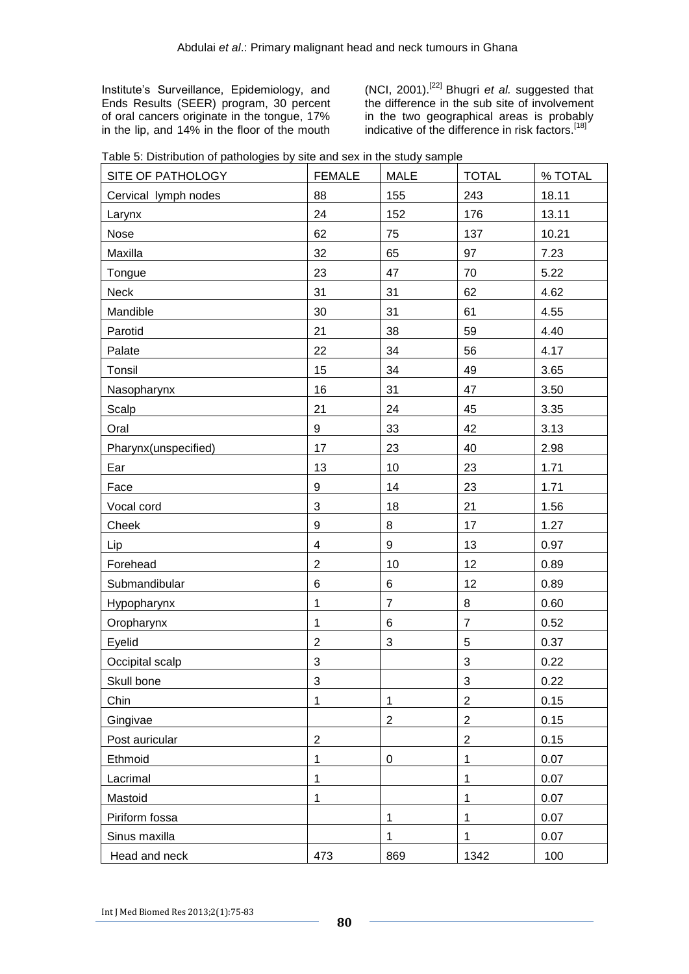Institute's Surveillance, Epidemiology, and Ends Results (SEER) program, 30 percent of oral cancers originate in the tongue, 17% in the lip, and 14% in the floor of the mouth (NCI, 2001). [22] Bhugri *et al.* suggested that the difference in the sub site of involvement in the two geographical areas is probably indicative of the difference in risk factors.<sup>[18]</sup>

|  | Table 5: Distribution of pathologies by site and sex in the study sample |  |  |
|--|--------------------------------------------------------------------------|--|--|
|  |                                                                          |  |  |

| SITE OF PATHOLOGY    | <b>FEMALE</b>             | <b>MALE</b>      | <b>TOTAL</b>            | % TOTAL |
|----------------------|---------------------------|------------------|-------------------------|---------|
| Cervical lymph nodes | 88                        | 155              | 243                     | 18.11   |
| Larynx               | 24                        | 152              | 176                     | 13.11   |
| Nose                 | 62                        | 75               | 137                     | 10.21   |
| Maxilla              | 32                        | 65               | 97                      | 7.23    |
| Tongue               | 23                        | 47               | 70                      | 5.22    |
| Neck                 | 31                        | 31               | 62                      | 4.62    |
| Mandible             | 30                        | 31               | 61                      | 4.55    |
| Parotid              | 21                        | 38               | 59                      | 4.40    |
| Palate               | 22                        | 34               | 56                      | 4.17    |
| Tonsil               | 15                        | 34               | 49                      | 3.65    |
| Nasopharynx          | 16                        | 31               | 47                      | 3.50    |
| Scalp                | 21                        | 24               | 45                      | 3.35    |
| Oral                 | 9                         | 33               | 42                      | 3.13    |
| Pharynx(unspecified) | 17                        | 23               | 40                      | 2.98    |
| Ear                  | 13                        | 10               | 23                      | 1.71    |
| Face                 | $\boldsymbol{9}$          | 14               | 23                      | 1.71    |
| Vocal cord           | $\ensuremath{\mathsf{3}}$ | 18               | 21                      | 1.56    |
| Cheek                | 9                         | 8                | 17                      | 1.27    |
| Lip                  | $\overline{4}$            | 9                | 13                      | 0.97    |
| Forehead             | $\overline{2}$            | 10               | 12                      | 0.89    |
| Submandibular        | 6                         | 6                | 12                      | 0.89    |
| Hypopharynx          | $\mathbf{1}$              | $\overline{7}$   | 8                       | 0.60    |
| Oropharynx           | $\mathbf{1}$              | 6                | $\overline{7}$          | 0.52    |
| Eyelid               | $\overline{2}$            | 3                | 5                       | 0.37    |
| Occipital scalp      | $\sqrt{3}$                |                  | 3                       | 0.22    |
| Skull bone           | $\sqrt{3}$                |                  | 3                       | 0.22    |
| Chin                 | $\mathbf 1$               | $\mathbf{1}$     | $\boldsymbol{2}$        | 0.15    |
| Gingivae             |                           | $\overline{2}$   | $\overline{2}$          | 0.15    |
| Post auricular       | $\overline{2}$            |                  | $\overline{\mathbf{c}}$ | 0.15    |
| Ethmoid              | 1                         | $\boldsymbol{0}$ | 1                       | 0.07    |
| Lacrimal             | 1                         |                  | 1                       | 0.07    |
| Mastoid              | $\mathbf 1$               |                  | 1                       | 0.07    |
| Piriform fossa       |                           | 1                | 1                       | 0.07    |
| Sinus maxilla        |                           | 1                | 1                       | 0.07    |
| Head and neck        | 473                       | 869              | 1342                    | 100     |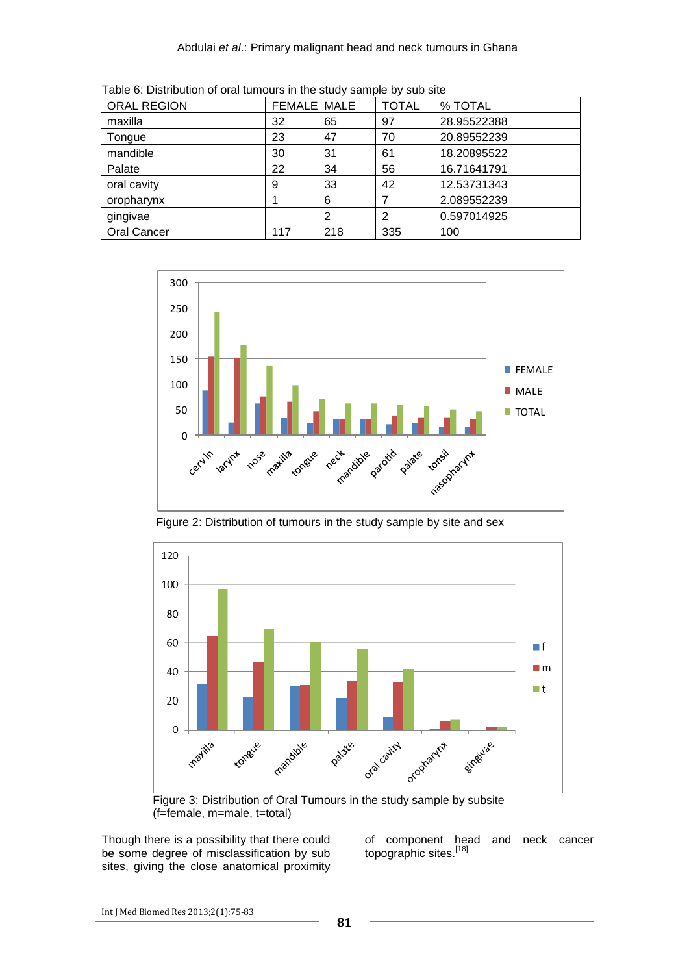| rabic of Distribution or oral turnours in the study sample by sub-site |               |      |              |             |  |  |
|------------------------------------------------------------------------|---------------|------|--------------|-------------|--|--|
| <b>ORAL REGION</b>                                                     | <b>FEMALE</b> | MALE | <b>TOTAL</b> | % TOTAL     |  |  |
| maxilla                                                                | 32            | 65   | 97           | 28.95522388 |  |  |
| Tongue                                                                 | 23            | 47   | 70           | 20.89552239 |  |  |
| mandible                                                               | 30            | 31   | 61           | 18.20895522 |  |  |
| Palate                                                                 | 22            | 34   | 56           | 16.71641791 |  |  |
| oral cavity                                                            | 9             | 33   | 42           | 12.53731343 |  |  |
| oropharynx                                                             |               | 6    |              | 2.089552239 |  |  |
| gingivae                                                               |               | 2    | 2            | 0.597014925 |  |  |
| <b>Oral Cancer</b>                                                     | 117           | 218  | 335          | 100         |  |  |

Table 6: Distribution of oral tumours in the study sample by sub site



Figure 2: Distribution of tumours in the study sample by site and sex



 Figure 3: Distribution of Oral Tumours in the study sample by subsite (f=female, m=male, t=total)

Though there is a possibility that there could be some degree of misclassification by sub sites, giving the close anatomical proximity

of component head and neck cancer topographic sites.[18]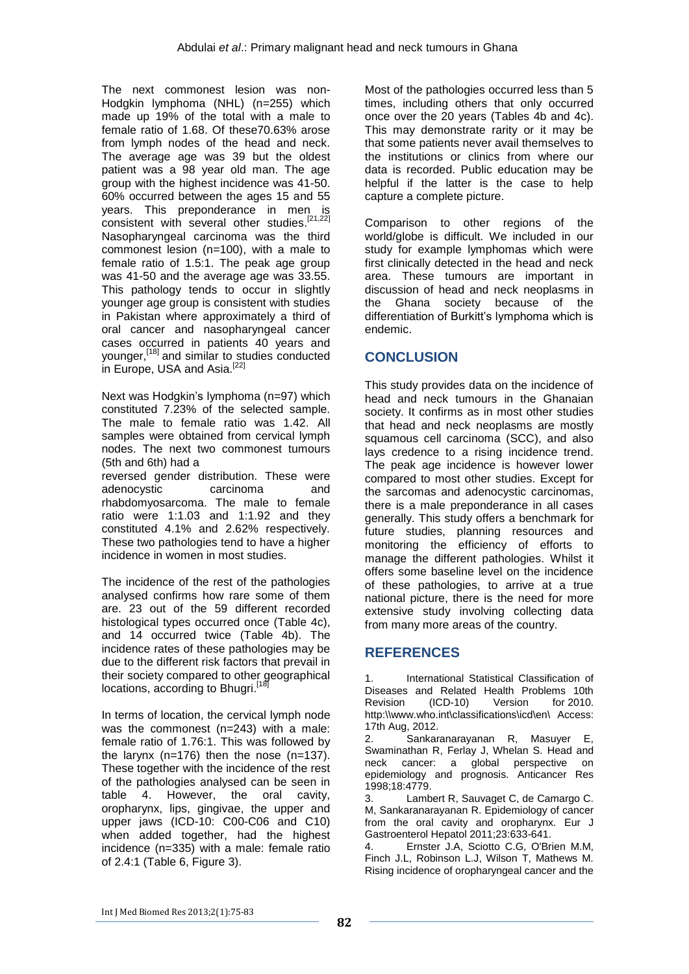The next commonest lesion was non-Hodgkin lymphoma (NHL) (n=255) which made up 19% of the total with a male to female ratio of 1.68. Of these70.63% arose from lymph nodes of the head and neck. The average age was 39 but the oldest patient was a 98 year old man. The age group with the highest incidence was 41-50. 60% occurred between the ages 15 and 55 years. This preponderance in men is consistent with several other studies. $[21,22]$ Nasopharyngeal carcinoma was the third commonest lesion (n=100), with a male to female ratio of 1.5:1. The peak age group was 41-50 and the average age was 33.55. This pathology tends to occur in slightly younger age group is consistent with studies in Pakistan where approximately a third of oral cancer and nasopharyngeal cancer cases occurred in patients 40 years and younger, [18] and similar to studies conducted in Europe, USA and Asia.<sup>[22]</sup>

Next was Hodgkin's lymphoma (n=97) which constituted 7.23% of the selected sample. The male to female ratio was 1.42. All samples were obtained from cervical lymph nodes. The next two commonest tumours (5th and 6th) had a reversed gender distribution. These were

adenocystic carcinoma and rhabdomyosarcoma. The male to female ratio were 1:1.03 and 1:1.92 and they constituted 4.1% and 2.62% respectively. These two pathologies tend to have a higher incidence in women in most studies.

The incidence of the rest of the pathologies analysed confirms how rare some of them are. 23 out of the 59 different recorded histological types occurred once (Table 4c), and 14 occurred twice (Table 4b). The incidence rates of these pathologies may be due to the different risk factors that prevail in their society compared to other geographical locations, according to Bhugri.<sup>[18]</sup>

In terms of location, the cervical lymph node was the commonest (n=243) with a male: female ratio of 1.76:1. This was followed by the larynx  $(n=176)$  then the nose  $(n=137)$ . These together with the incidence of the rest of the pathologies analysed can be seen in table 4. However, the oral cavity, oropharynx, lips, gingivae, the upper and upper jaws (ICD-10: C00-C06 and C10) when added together, had the highest incidence (n=335) with a male: female ratio of 2.4:1 (Table 6, Figure 3).

Most of the pathologies occurred less than 5 times, including others that only occurred once over the 20 years (Tables 4b and 4c). This may demonstrate rarity or it may be that some patients never avail themselves to the institutions or clinics from where our data is recorded. Public education may be helpful if the latter is the case to help capture a complete picture.

Comparison to other regions of the world/globe is difficult. We included in our study for example lymphomas which were first clinically detected in the head and neck area. These tumours are important in discussion of head and neck neoplasms in the Ghana society because of the differentiation of Burkitt's lymphoma which is endemic.

# **CONCLUSION**

This study provides data on the incidence of head and neck tumours in the Ghanaian society. It confirms as in most other studies that head and neck neoplasms are mostly squamous cell carcinoma (SCC), and also lays credence to a rising incidence trend. The peak age incidence is however lower compared to most other studies. Except for the sarcomas and adenocystic carcinomas, there is a male preponderance in all cases generally. This study offers a benchmark for future studies, planning resources and monitoring the efficiency of efforts to manage the different pathologies. Whilst it offers some baseline level on the incidence of these pathologies, to arrive at a true national picture, there is the need for more extensive study involving collecting data from many more areas of the country.

# **REFERENCES**

1. International Statistical Classification of Diseases and Related Health Problems 10th Revision (ICD-10) Version for 2010. http:\\www.who.int\classifications\icd\en\ Access: 17th Aug, 2012.

2. Sankaranarayanan R, Masuyer E, Swaminathan R, Ferlay J, Whelan S. Head and neck cancer: a global perspective on epidemiology and prognosis. Anticancer Res 1998;18:4779.

3. Lambert R, Sauvaget C, de Camargo C. M, Sankaranarayanan R. Epidemiology of cancer from the oral cavity and oropharynx. Eur J Gastroenterol Hepatol 2011;23:633-641.

4. Ernster J.A, Sciotto C.G, O'Brien M.M, Finch J.L, Robinson L.J, Wilson T, Mathews M. Rising incidence of oropharyngeal cancer and the